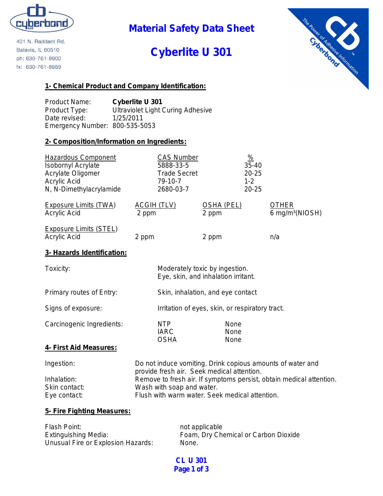

401 N. Raddant Rd. Batavia, IL 60510 ph: 630-761-8900 fx: 630-761-8989

**Material Safety Data Sheet**

# **Cyberlite U 301**



#### **1- Chemical Product and Company Identification:**

Product Name: **Cyberlite U 301** Product Type: Ultraviolet Light Curing Adhesive Date revised: 1/25/2011 Emergency Number: 800-535-5053

#### **2- Composition/Information on Ingredients:**

| <b>Hazardous Component</b>   | <b>CAS Number</b>   |                                                           | $\frac{9}{6}$ |                             |
|------------------------------|---------------------|-----------------------------------------------------------|---------------|-----------------------------|
| <b>Isobornyl Acrylate</b>    | 5888-33-5           |                                                           | $35 - 40$     |                             |
| Acrylate Oligomer            | <b>Trade Secret</b> |                                                           | $20 - 25$     |                             |
| Acrylic Acid                 | 79-10-7             |                                                           | $1 - 2$       |                             |
| N, N-Dimethylacrylamide      | 2680-03-7           |                                                           | $20 - 25$     |                             |
| <b>Exposure Limits (TWA)</b> | <u>ACGIH (TLV)</u>  | <b>OSHA (PEL)</b>                                         |               | <b>OTHER</b>                |
| Acrylic Acid                 | 2 ppm               | 2 ppm                                                     |               | 6 mg/m <sup>3</sup> (NIOSH) |
| Exposure Limits (STEL)       |                     |                                                           |               |                             |
| Acrylic Acid                 | 2 ppm               | 2 ppm                                                     |               | n/a                         |
| 3- Hazards Identification:   |                     |                                                           |               |                             |
| the contract of the con-     |                     | Material and the leadership that is the control of the co |               |                             |

| Toxicity:                 |                                                 | Moderately toxic by ingestion.<br>Eye, skin, and inhalation irritant. |  |
|---------------------------|-------------------------------------------------|-----------------------------------------------------------------------|--|
| Primary routes of Entry:  |                                                 | Skin, inhalation, and eye contact                                     |  |
| Signs of exposure:        | Irritation of eyes, skin, or respiratory tract. |                                                                       |  |
| Carcinogenic Ingredients: | <b>NTP</b><br>IARC                              | None<br>None                                                          |  |

#### **4- First Aid Measures:**

| Ingestion:    | Do not induce vomiting. Drink copious amounts of water and          |
|---------------|---------------------------------------------------------------------|
|               | provide fresh air. Seek medical attention.                          |
| Inhalation:   | Remove to fresh air. If symptoms persist, obtain medical attention. |
| Skin contact: | Wash with soap and water.                                           |
| Eye contact:  | Flush with warm water. Seek medical attention.                      |

OSHA None

#### **5- Fire Fighting Measures:**

| Flash Point:                       | not applicable                       |
|------------------------------------|--------------------------------------|
| Extinguishing Media:               | Foam, Dry Chemical or Carbon Dioxide |
| Unusual Fire or Explosion Hazards: | None.                                |

**CL U 301 Page 1 of 3**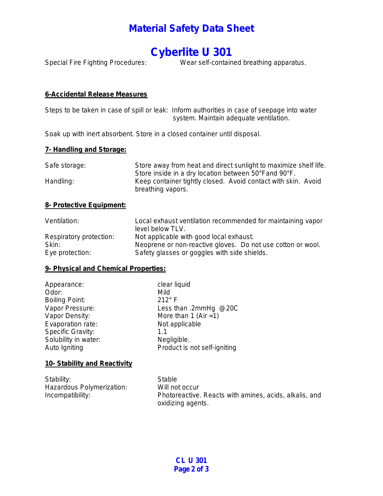### **Material Safety Data Sheet**

## **Cyberlite U 301**

Special Fire Fighting Procedures: Wear self-contained breathing apparatus.

#### **6-Accidental Release Measures**

Steps to be taken in case of spill or leak: Inform authorities in case of seepage into water system. Maintain adequate ventilation.

Soak up with inert absorbent. Store in a closed container until disposal.

#### **7- Handling and Storage:**

| Safe storage: | Store away from heat and direct sunlight to maximize shelf life.<br>Store inside in a dry location between 50°Fand 90°F. |  |  |
|---------------|--------------------------------------------------------------------------------------------------------------------------|--|--|
|               |                                                                                                                          |  |  |
| Handling:     | Keep container tightly closed. Avoid contact with skin. Avoid<br>breathing vapors.                                       |  |  |

#### **8- Protective Equipment:**

| Ventilation:            | Local exhaust ventilation recommended for maintaining vapor<br>level below TLV. |  |
|-------------------------|---------------------------------------------------------------------------------|--|
| Respiratory protection: | Not applicable with good local exhaust.                                         |  |
| Skin:                   | Neoprene or non-reactive gloves. Do not use cotton or wool.                     |  |
| Eye protection:         | Safety glasses or goggles with side shields.                                    |  |

#### **9- Physical and Chemical Properties:**

| Appearance:              | clear liquid                 |
|--------------------------|------------------------------|
| Odor:                    | Mild                         |
| <b>Boiling Point:</b>    | $212^\circ$ F                |
| Vapor Pressure:          | Less than .2mmHg @20C        |
| Vapor Density:           | More than 1 (Air = 1)        |
| Evaporation rate:        | Not applicable               |
| <b>Specific Gravity:</b> | 1.1                          |
| Solubility in water:     | Negligible.                  |
| Auto Igniting            | Product is not self-igniting |
|                          |                              |

#### **10- Stability and Reactivity**

| Stability:                | Stable                                                 |
|---------------------------|--------------------------------------------------------|
| Hazardous Polymerization: | Will not occur                                         |
| Incompatibility:          | Photoreactive. Reacts with amines, acids, alkalis, and |
|                           | oxidizing agents.                                      |